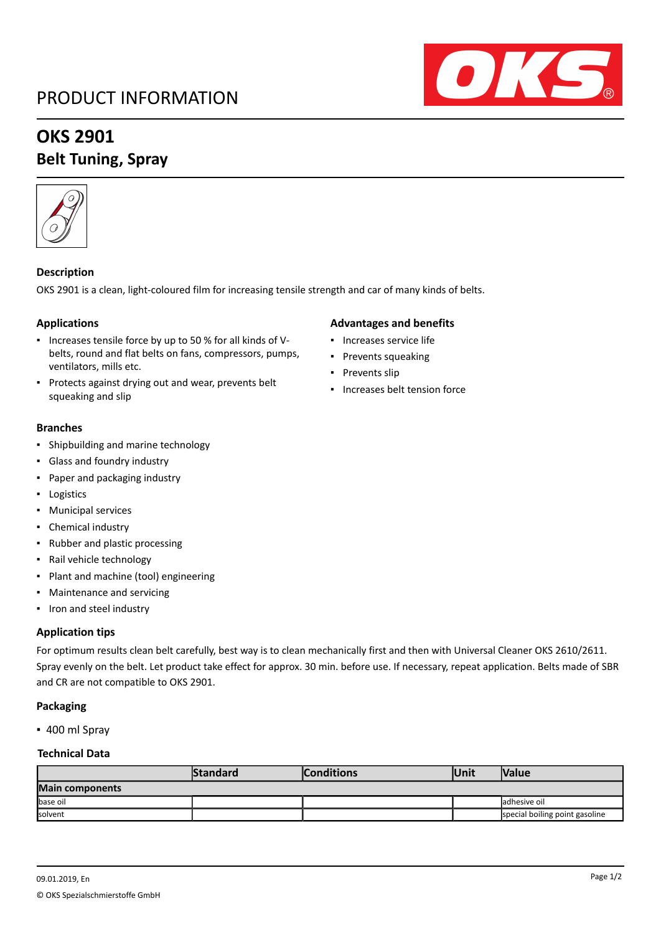## PRODUCT INFORMATION



# **OKS 2901**

### **Belt Tuning, Spray**



### **Description**

OKS 2901 is a clean, light-coloured film for increasing tensile strength and car of many kinds of belts.

#### **Applications**

- Increases tensile force by up to 50 % for all kinds of Vbelts, round and flat belts on fans, compressors, pumps, ventilators, mills etc.
- Protects against drying out and wear, prevents belt squeaking and slip

#### **Branches**

- Shipbuilding and marine technology
- Glass and foundry industry
- Paper and packaging industry
- Logistics
- Municipal services
- Chemical industry
- Rubber and plastic processing
- Rail vehicle technology
- Plant and machine (tool) engineering
- Maintenance and servicing
- Iron and steel industry

#### **Application tips**

For optimum results clean belt carefully, best way is to clean mechanically first and then with Universal Cleaner OKS 2610/2611. Spray evenly on the belt. Let product take effect for approx. 30 min. before use. If necessary, repeat application. Belts made of SBR and CR are not compatible to OKS 2901.

#### **Packaging**

▪ 400 ml Spray

#### **Technical Data**

|                        | <b>Standard</b> | <b>Conditions</b> | <b>Unit</b> | <b>Nalue</b>                   |  |  |  |
|------------------------|-----------------|-------------------|-------------|--------------------------------|--|--|--|
| <b>Main components</b> |                 |                   |             |                                |  |  |  |
| base oil               |                 |                   |             | ladhesive oil                  |  |  |  |
| solvent                |                 |                   |             | special boiling point gasoline |  |  |  |

### **Advantages and benefits**

- Increases service life
- Prevents squeaking
- Prevents slip
- Increases belt tension force